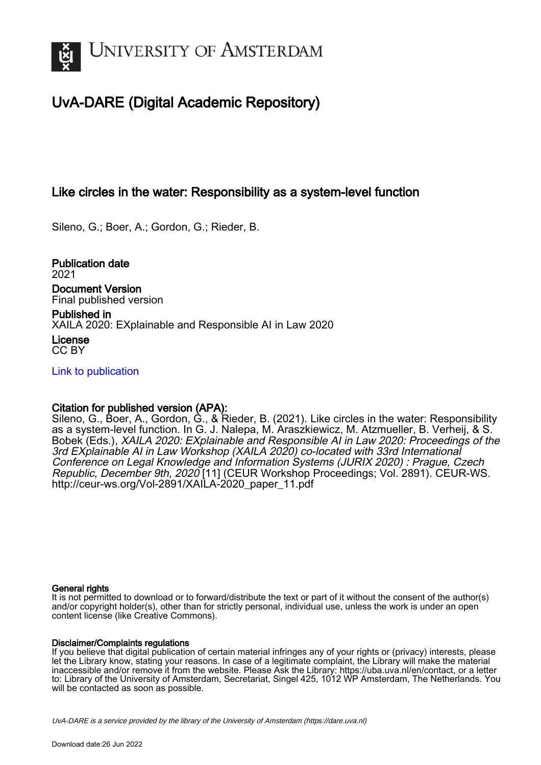

# UvA-DARE (Digital Academic Repository)

## Like circles in the water: Responsibility as a system-level function

Sileno, G.; Boer, A.; Gordon, G.; Rieder, B.

Publication date 2021 Document Version

Final published version

Published in XAILA 2020: EXplainable and Responsible AI in Law 2020

License CC BY

[Link to publication](https://dare.uva.nl/personal/pure/en/publications/like-circles-in-the-water-responsibility-as-a-systemlevel-function(2848520d-eda9-4e63-9170-d6e82e399759).html)

### Citation for published version (APA):

Sileno, G., Boer, A., Gordon, G., & Rieder, B. (2021). Like circles in the water: Responsibility as a system-level function. In G. J. Nalepa, M. Araszkiewicz, M. Atzmueller, B. Verheij, & S. Bobek (Eds.), XAILA 2020: EXplainable and Responsible AI in Law 2020: Proceedings of the 3rd EXplainable AI in Law Workshop (XAILA 2020) co-located with 33rd International Conference on Legal Knowledge and Information Systems (JURIX 2020) : Prague, Czech Republic, December 9th, 2020 [11] (CEUR Workshop Proceedings; Vol. 2891). CEUR-WS. [http://ceur-ws.org/Vol-2891/XAILA-2020\\_paper\\_11.pdf](http://ceur-ws.org/Vol-2891/XAILA-2020_paper_11.pdf)

#### General rights

It is not permitted to download or to forward/distribute the text or part of it without the consent of the author(s) and/or copyright holder(s), other than for strictly personal, individual use, unless the work is under an open content license (like Creative Commons).

#### Disclaimer/Complaints regulations

If you believe that digital publication of certain material infringes any of your rights or (privacy) interests, please let the Library know, stating your reasons. In case of a legitimate complaint, the Library will make the material inaccessible and/or remove it from the website. Please Ask the Library: https://uba.uva.nl/en/contact, or a letter to: Library of the University of Amsterdam, Secretariat, Singel 425, 1012 WP Amsterdam, The Netherlands. You will be contacted as soon as possible.

UvA-DARE is a service provided by the library of the University of Amsterdam (http*s*://dare.uva.nl)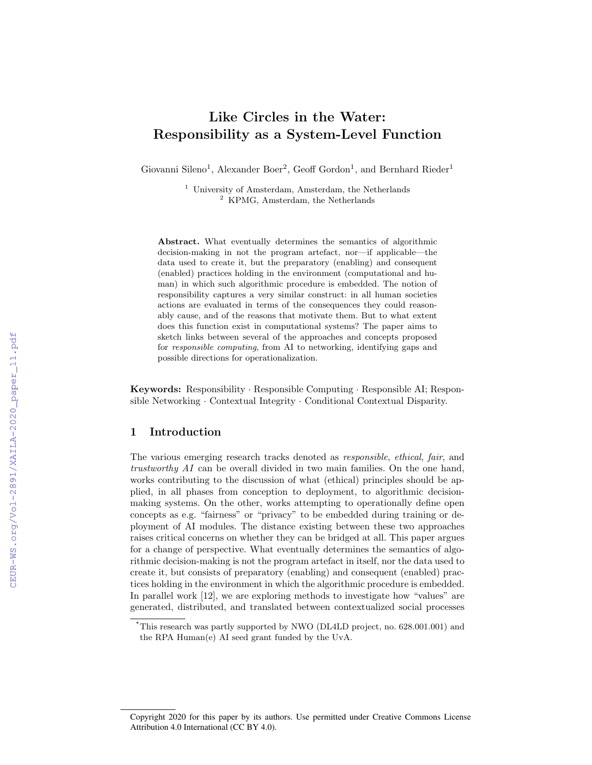## Like Circles in the Water: Responsibility as a System-Level Function

Giovanni Sileno<sup>1</sup>, Alexander Boer<sup>2</sup>, Geoff Gordon<sup>1</sup>, and Bernhard Rieder<sup>1</sup>

<sup>1</sup> University of Amsterdam, Amsterdam, the Netherlands <sup>2</sup> KPMG, Amsterdam, the Netherlands

Abstract. What eventually determines the semantics of algorithmic decision-making in not the program artefact, nor—if applicable—the data used to create it, but the preparatory (enabling) and consequent (enabled) practices holding in the environment (computational and human) in which such algorithmic procedure is embedded. The notion of responsibility captures a very similar construct: in all human societies actions are evaluated in terms of the consequences they could reasonably cause, and of the reasons that motivate them. But to what extent does this function exist in computational systems? The paper aims to sketch links between several of the approaches and concepts proposed for responsible computing, from AI to networking, identifying gaps and possible directions for operationalization.

Keywords: Responsibility · Responsible Computing · Responsible AI; Responsible Networking · Contextual Integrity · Conditional Contextual Disparity.

#### 1 Introduction

The various emerging research tracks denoted as responsible, ethical, fair, and trustworthy AI can be overall divided in two main families. On the one hand, works contributing to the discussion of what (ethical) principles should be applied, in all phases from conception to deployment, to algorithmic decisionmaking systems. On the other, works attempting to operationally define open concepts as e.g. "fairness" or "privacy" to be embedded during training or deployment of AI modules. The distance existing between these two approaches raises critical concerns on whether they can be bridged at all. This paper argues for a change of perspective. What eventually determines the semantics of algorithmic decision-making is not the program artefact in itself, nor the data used to create it, but consists of preparatory (enabling) and consequent (enabled) practices holding in the environment in which the algorithmic procedure is embedded. In parallel work [12], we are exploring methods to investigate how "values" are generated, distributed, and translated between contextualized social processes

<sup>\*</sup>This research was partly supported by NWO (DL4LD project, no. 628.001.001) and the RPA Human(e) AI seed grant funded by the UvA.

Copyright 2020 for this paper by its authors. Use permitted under Creative Commons License Attribution 4.0 International (CC BY 4.0).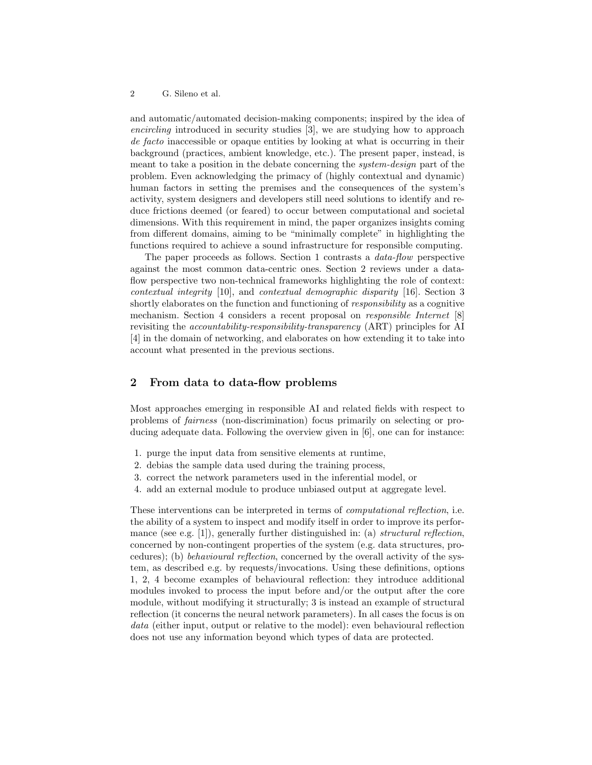and automatic/automated decision-making components; inspired by the idea of encircling introduced in security studies [3], we are studying how to approach de facto inaccessible or opaque entities by looking at what is occurring in their background (practices, ambient knowledge, etc.). The present paper, instead, is meant to take a position in the debate concerning the system-design part of the problem. Even acknowledging the primacy of (highly contextual and dynamic) human factors in setting the premises and the consequences of the system's activity, system designers and developers still need solutions to identify and reduce frictions deemed (or feared) to occur between computational and societal dimensions. With this requirement in mind, the paper organizes insights coming from different domains, aiming to be "minimally complete" in highlighting the functions required to achieve a sound infrastructure for responsible computing.

The paper proceeds as follows. Section 1 contrasts a *data-flow* perspective against the most common data-centric ones. Section 2 reviews under a dataflow perspective two non-technical frameworks highlighting the role of context: contextual integrity [10], and contextual demographic disparity [16]. Section 3 shortly elaborates on the function and functioning of *responsibility* as a cognitive mechanism. Section 4 considers a recent proposal on responsible Internet [8] revisiting the accountability-responsibility-transparency (ART) principles for AI [4] in the domain of networking, and elaborates on how extending it to take into account what presented in the previous sections.

#### 2 From data to data-flow problems

Most approaches emerging in responsible AI and related fields with respect to problems of fairness (non-discrimination) focus primarily on selecting or producing adequate data. Following the overview given in [6], one can for instance:

- 1. purge the input data from sensitive elements at runtime,
- 2. debias the sample data used during the training process,
- 3. correct the network parameters used in the inferential model, or
- 4. add an external module to produce unbiased output at aggregate level.

These interventions can be interpreted in terms of computational reflection, i.e. the ability of a system to inspect and modify itself in order to improve its performance (see e.g. [1]), generally further distinguished in: (a) structural reflection, concerned by non-contingent properties of the system (e.g. data structures, procedures); (b) behavioural reflection, concerned by the overall activity of the system, as described e.g. by requests/invocations. Using these definitions, options 1, 2, 4 become examples of behavioural reflection: they introduce additional modules invoked to process the input before and/or the output after the core module, without modifying it structurally; 3 is instead an example of structural reflection (it concerns the neural network parameters). In all cases the focus is on data (either input, output or relative to the model): even behavioural reflection does not use any information beyond which types of data are protected.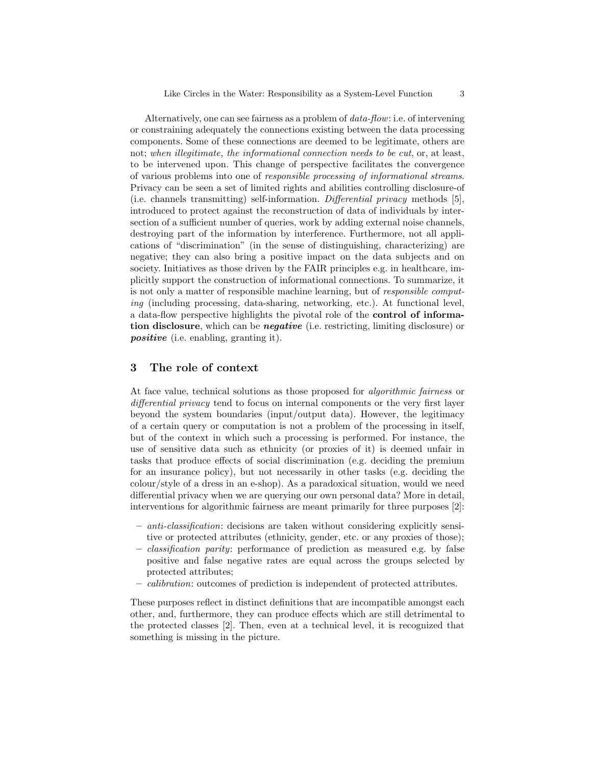Alternatively, one can see fairness as a problem of data-flow: i.e. of intervening or constraining adequately the connections existing between the data processing components. Some of these connections are deemed to be legitimate, others are not; when illegitimate, the informational connection needs to be cut, or, at least, to be intervened upon. This change of perspective facilitates the convergence of various problems into one of responsible processing of informational streams. Privacy can be seen a set of limited rights and abilities controlling disclosure-of (i.e. channels transmitting) self-information. Differential privacy methods [5], introduced to protect against the reconstruction of data of individuals by intersection of a sufficient number of queries, work by adding external noise channels, destroying part of the information by interference. Furthermore, not all applications of "discrimination" (in the sense of distinguishing, characterizing) are negative; they can also bring a positive impact on the data subjects and on society. Initiatives as those driven by the FAIR principles e.g. in healthcare, implicitly support the construction of informational connections. To summarize, it is not only a matter of responsible machine learning, but of responsible computing (including processing, data-sharing, networking, etc.). At functional level, a data-flow perspective highlights the pivotal role of the control of information disclosure, which can be *negative* (i.e. restricting, limiting disclosure) or positive (i.e. enabling, granting it).

#### 3 The role of context

At face value, technical solutions as those proposed for algorithmic fairness or differential privacy tend to focus on internal components or the very first layer beyond the system boundaries (input/output data). However, the legitimacy of a certain query or computation is not a problem of the processing in itself, but of the context in which such a processing is performed. For instance, the use of sensitive data such as ethnicity (or proxies of it) is deemed unfair in tasks that produce effects of social discrimination (e.g. deciding the premium for an insurance policy), but not necessarily in other tasks (e.g. deciding the colour/style of a dress in an e-shop). As a paradoxical situation, would we need differential privacy when we are querying our own personal data? More in detail, interventions for algorithmic fairness are meant primarily for three purposes [2]:

- anti-classification: decisions are taken without considering explicitly sensitive or protected attributes (ethnicity, gender, etc. or any proxies of those);
- $-$  *classification parity:* performance of prediction as measured e.g. by false positive and false negative rates are equal across the groups selected by protected attributes;
- calibration: outcomes of prediction is independent of protected attributes.

These purposes reflect in distinct definitions that are incompatible amongst each other, and, furthermore, they can produce effects which are still detrimental to the protected classes [2]. Then, even at a technical level, it is recognized that something is missing in the picture.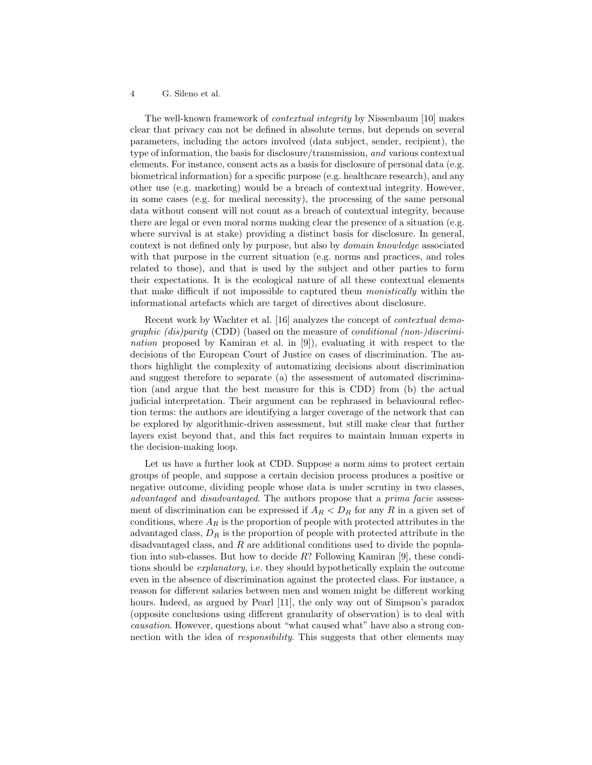#### 4 G. Sileno et al.

The well-known framework of contextual integrity by Nissenbaum [10] makes clear that privacy can not be defined in absolute terms, but depends on several parameters, including the actors involved (data subject, sender, recipient), the type of information, the basis for disclosure/transmission, and various contextual elements. For instance, consent acts as a basis for disclosure of personal data (e.g. biometrical information) for a specific purpose (e.g. healthcare research), and any other use (e.g. marketing) would be a breach of contextual integrity. However, in some cases (e.g. for medical necessity), the processing of the same personal data without consent will not count as a breach of contextual integrity, because there are legal or even moral norms making clear the presence of a situation (e.g. where survival is at stake) providing a distinct basis for disclosure. In general, context is not defined only by purpose, but also by domain knowledge associated with that purpose in the current situation (e.g. norms and practices, and roles related to those), and that is used by the subject and other parties to form their expectations. It is the ecological nature of all these contextual elements that make difficult if not impossible to captured them monistically within the informational artefacts which are target of directives about disclosure.

Recent work by Wachter et al. [16] analyzes the concept of contextual demographic (dis)parity (CDD) (based on the measure of conditional (non-)discrimination proposed by Kamiran et al. in [9]), evaluating it with respect to the decisions of the European Court of Justice on cases of discrimination. The authors highlight the complexity of automatizing decisions about discrimination and suggest therefore to separate (a) the assessment of automated discrimination (and argue that the best measure for this is CDD) from (b) the actual judicial interpretation. Their argument can be rephrased in behavioural reflection terms: the authors are identifying a larger coverage of the network that can be explored by algorithmic-driven assessment, but still make clear that further layers exist beyond that, and this fact requires to maintain human experts in the decision-making loop.

Let us have a further look at CDD. Suppose a norm aims to protect certain groups of people, and suppose a certain decision process produces a positive or negative outcome, dividing people whose data is under scrutiny in two classes, advantaged and disadvantaged. The authors propose that a prima facie assessment of discrimination can be expressed if  $A_R < D_R$  for any R in a given set of conditions, where  $A_R$  is the proportion of people with protected attributes in the advantaged class,  $D_R$  is the proportion of people with protected attribute in the disadvantaged class, and R are additional conditions used to divide the population into sub-classes. But how to decide R? Following Kamiran [9], these conditions should be explanatory, i.e. they should hypothetically explain the outcome even in the absence of discrimination against the protected class. For instance, a reason for different salaries between men and women might be different working hours. Indeed, as argued by Pearl [11], the only way out of Simpson's paradox (opposite conclusions using different granularity of observation) is to deal with causation. However, questions about "what caused what" have also a strong connection with the idea of responsibility. This suggests that other elements may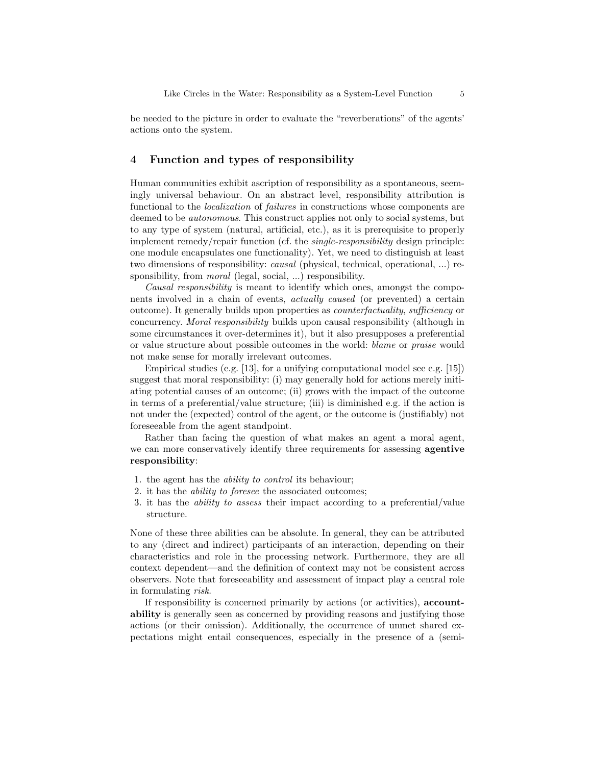be needed to the picture in order to evaluate the "reverberations" of the agents' actions onto the system.

#### 4 Function and types of responsibility

Human communities exhibit ascription of responsibility as a spontaneous, seemingly universal behaviour. On an abstract level, responsibility attribution is functional to the *localization* of *failures* in constructions whose components are deemed to be autonomous. This construct applies not only to social systems, but to any type of system (natural, artificial, etc.), as it is prerequisite to properly implement remedy/repair function (cf. the *single-responsibility* design principle: one module encapsulates one functionality). Yet, we need to distinguish at least two dimensions of responsibility: causal (physical, technical, operational, ...) responsibility, from *moral* (legal, social, ...) responsibility.

Causal responsibility is meant to identify which ones, amongst the components involved in a chain of events, actually caused (or prevented) a certain outcome). It generally builds upon properties as counterfactuality, sufficiency or concurrency. Moral responsibility builds upon causal responsibility (although in some circumstances it over-determines it), but it also presupposes a preferential or value structure about possible outcomes in the world: blame or praise would not make sense for morally irrelevant outcomes.

Empirical studies (e.g. [13], for a unifying computational model see e.g. [15]) suggest that moral responsibility: (i) may generally hold for actions merely initiating potential causes of an outcome; (ii) grows with the impact of the outcome in terms of a preferential/value structure; (iii) is diminished e.g. if the action is not under the (expected) control of the agent, or the outcome is (justifiably) not foreseeable from the agent standpoint.

Rather than facing the question of what makes an agent a moral agent, we can more conservatively identify three requirements for assessing agentive responsibility:

- 1. the agent has the ability to control its behaviour;
- 2. it has the *ability to foresee* the associated outcomes;
- 3. it has the ability to assess their impact according to a preferential/value structure.

None of these three abilities can be absolute. In general, they can be attributed to any (direct and indirect) participants of an interaction, depending on their characteristics and role in the processing network. Furthermore, they are all context dependent—and the definition of context may not be consistent across observers. Note that foreseeability and assessment of impact play a central role in formulating risk.

If responsibility is concerned primarily by actions (or activities), accountability is generally seen as concerned by providing reasons and justifying those actions (or their omission). Additionally, the occurrence of unmet shared expectations might entail consequences, especially in the presence of a (semi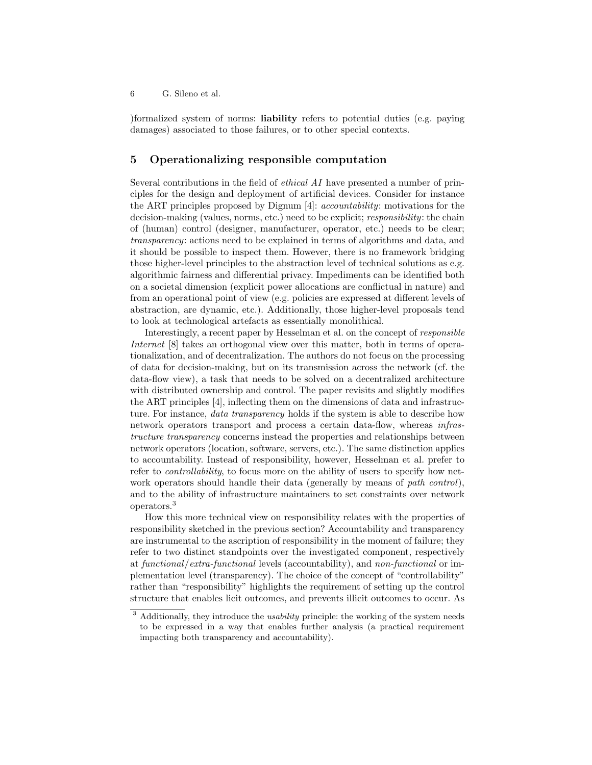)formalized system of norms: liability refers to potential duties (e.g. paying damages) associated to those failures, or to other special contexts.

### 5 Operationalizing responsible computation

Several contributions in the field of ethical AI have presented a number of principles for the design and deployment of artificial devices. Consider for instance the ART principles proposed by Dignum [4]: accountability: motivations for the decision-making (values, norms, etc.) need to be explicit; *responsibility*: the chain of (human) control (designer, manufacturer, operator, etc.) needs to be clear; transparency: actions need to be explained in terms of algorithms and data, and it should be possible to inspect them. However, there is no framework bridging those higher-level principles to the abstraction level of technical solutions as e.g. algorithmic fairness and differential privacy. Impediments can be identified both on a societal dimension (explicit power allocations are conflictual in nature) and from an operational point of view (e.g. policies are expressed at different levels of abstraction, are dynamic, etc.). Additionally, those higher-level proposals tend to look at technological artefacts as essentially monolithical.

Interestingly, a recent paper by Hesselman et al. on the concept of responsible Internet [8] takes an orthogonal view over this matter, both in terms of operationalization, and of decentralization. The authors do not focus on the processing of data for decision-making, but on its transmission across the network (cf. the data-flow view), a task that needs to be solved on a decentralized architecture with distributed ownership and control. The paper revisits and slightly modifies the ART principles [4], inflecting them on the dimensions of data and infrastructure. For instance, *data transparency* holds if the system is able to describe how network operators transport and process a certain data-flow, whereas infrastructure transparency concerns instead the properties and relationships between network operators (location, software, servers, etc.). The same distinction applies to accountability. Instead of responsibility, however, Hesselman et al. prefer to refer to controllability, to focus more on the ability of users to specify how network operators should handle their data (generally by means of path control), and to the ability of infrastructure maintainers to set constraints over network operators.<sup>3</sup>

How this more technical view on responsibility relates with the properties of responsibility sketched in the previous section? Accountability and transparency are instrumental to the ascription of responsibility in the moment of failure; they refer to two distinct standpoints over the investigated component, respectively at functional/extra-functional levels (accountability), and non-functional or implementation level (transparency). The choice of the concept of "controllability" rather than "responsibility" highlights the requirement of setting up the control structure that enables licit outcomes, and prevents illicit outcomes to occur. As

 $3$  Additionally, they introduce the *usability* principle: the working of the system needs to be expressed in a way that enables further analysis (a practical requirement impacting both transparency and accountability).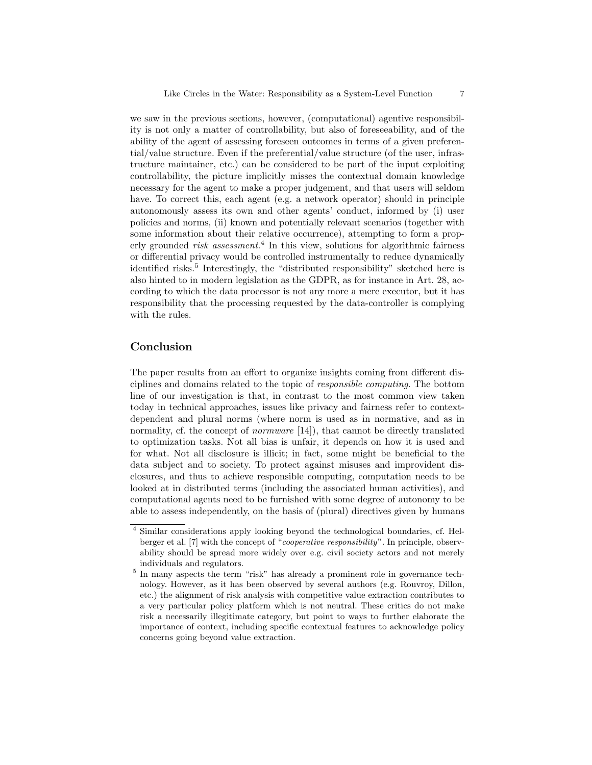we saw in the previous sections, however, (computational) agentive responsibility is not only a matter of controllability, but also of foreseeability, and of the ability of the agent of assessing foreseen outcomes in terms of a given preferential/value structure. Even if the preferential/value structure (of the user, infrastructure maintainer, etc.) can be considered to be part of the input exploiting controllability, the picture implicitly misses the contextual domain knowledge necessary for the agent to make a proper judgement, and that users will seldom have. To correct this, each agent (e.g. a network operator) should in principle autonomously assess its own and other agents' conduct, informed by (i) user policies and norms, (ii) known and potentially relevant scenarios (together with some information about their relative occurrence), attempting to form a properly grounded *risk assessment*.<sup>4</sup> In this view, solutions for algorithmic fairness or differential privacy would be controlled instrumentally to reduce dynamically identified risks.<sup>5</sup> Interestingly, the "distributed responsibility" sketched here is also hinted to in modern legislation as the GDPR, as for instance in Art. 28, according to which the data processor is not any more a mere executor, but it has responsibility that the processing requested by the data-controller is complying with the rules.

#### Conclusion

The paper results from an effort to organize insights coming from different disciplines and domains related to the topic of responsible computing. The bottom line of our investigation is that, in contrast to the most common view taken today in technical approaches, issues like privacy and fairness refer to contextdependent and plural norms (where norm is used as in normative, and as in normality, cf. the concept of *normware* [14]), that cannot be directly translated to optimization tasks. Not all bias is unfair, it depends on how it is used and for what. Not all disclosure is illicit; in fact, some might be beneficial to the data subject and to society. To protect against misuses and improvident disclosures, and thus to achieve responsible computing, computation needs to be looked at in distributed terms (including the associated human activities), and computational agents need to be furnished with some degree of autonomy to be able to assess independently, on the basis of (plural) directives given by humans

<sup>4</sup> Similar considerations apply looking beyond the technological boundaries, cf. Helberger et al. [7] with the concept of "cooperative responsibility". In principle, observability should be spread more widely over e.g. civil society actors and not merely individuals and regulators.

<sup>&</sup>lt;sup>5</sup> In many aspects the term "risk" has already a prominent role in governance technology. However, as it has been observed by several authors (e.g. Rouvroy, Dillon, etc.) the alignment of risk analysis with competitive value extraction contributes to a very particular policy platform which is not neutral. These critics do not make risk a necessarily illegitimate category, but point to ways to further elaborate the importance of context, including specific contextual features to acknowledge policy concerns going beyond value extraction.